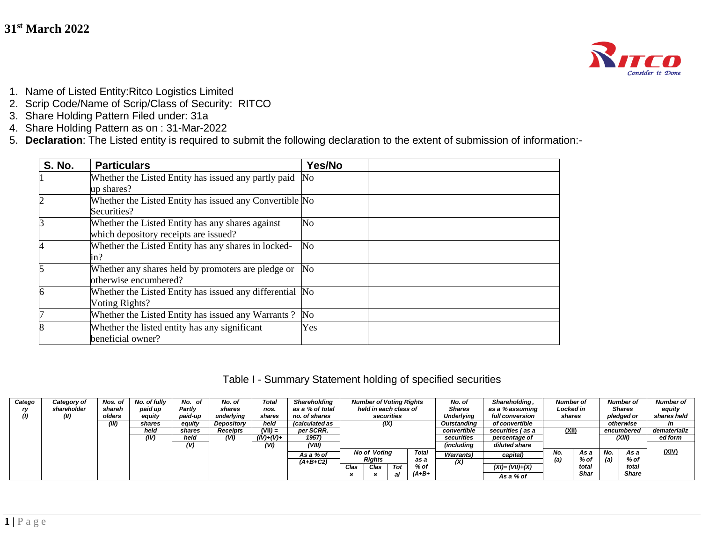

- 1. Name of Listed Entity:Ritco Logistics Limited
- 2. Scrip Code/Name of Scrip/Class of Security: RITCO
- 3. Share Holding Pattern Filed under: 31a
- 4. Share Holding Pattern as on : 31-Mar-2022
- 5. **Declaration**: The Listed entity is required to submit the following declaration to the extent of submission of information:-

| <b>S. No.</b> | <b>Particulars</b>                                                                        | Yes/No         |
|---------------|-------------------------------------------------------------------------------------------|----------------|
|               | Whether the Listed Entity has issued any partly paid<br>up shares?                        | N <sub>o</sub> |
|               | Whether the Listed Entity has issued any Convertible No<br>Securities?                    |                |
|               | Whether the Listed Entity has any shares against<br>which depository receipts are issued? | No             |
|               | Whether the Listed Entity has any shares in locked-<br>in?                                | No             |
| 5             | Whether any shares held by promoters are pledge or<br>otherwise encumbered?               | No             |
| 6             | Whether the Listed Entity has issued any differential No<br>Voting Rights?                |                |
| 17            | Whether the Listed Entity has issued any Warrants?                                        | No             |
| 8             | Whether the listed entity has any significant<br>beneficial owner?                        | Yes            |

| Table I - Summary Statement holding of specified securities |  |  |  |  |
|-------------------------------------------------------------|--|--|--|--|
|-------------------------------------------------------------|--|--|--|--|

| Catego | Category of | Nos, of | No. of fully | No. of  | No. of          | Total       | Shareholding          |      | <b>Number of Voting Rights</b> |            |              | No. of            | Shareholding,        |           | Number of   |     | <b>Number of</b> | <b>Number of</b> |
|--------|-------------|---------|--------------|---------|-----------------|-------------|-----------------------|------|--------------------------------|------------|--------------|-------------------|----------------------|-----------|-------------|-----|------------------|------------------|
|        | shareholder | shareh  | paid up      | Partly  | shares          | nos.        | as a % of total       |      | held in each class of          |            |              | <b>Shares</b>     | as a % assuming      | Locked in |             |     | <b>Shares</b>    | equity           |
| (1)    | (II)        | olders  | equity       | paid-up | underlying      | shares      | no, of shares         |      |                                | securities |              | <b>Underlying</b> | full conversion      |           | shares      |     | pledged or       | shares held      |
|        |             | (III)   | shares       | equity  | Depository      | held        | <i>(calculated as</i> |      |                                | (IX)       |              | Outstanding       | of convertible       |           |             |     | otherwise        | in               |
|        |             |         | held         | shares  | <b>Receipts</b> | $(VII) =$   | per SCRR,             |      |                                |            |              | convertible       | securities (as a     | (XII)     |             |     | encumbered       | dematerializ     |
|        |             |         | (IV)         | held    | (VI)            | $(IV)+(V)+$ | 1957)                 |      |                                |            |              | securities        | percentage of        |           |             |     | (XIII)           | ed form          |
|        |             |         |              | (V,     |                 | (VI)        | (VIII)                |      |                                |            |              | (including        | diluted share        |           |             |     |                  |                  |
|        |             |         |              |         |                 |             | As a % of             |      | <b>No of Voting</b>            |            | <b>Total</b> | <b>Warrants</b> ) | capital)             | No.       | As a        | No. | As a             | (XIV)            |
|        |             |         |              |         |                 |             | $(A+B+C2)$            |      | <b>Rights</b>                  |            | as a         | (X)               |                      | (a        | $%$ of      | (a) | $%$ of           |                  |
|        |             |         |              |         |                 |             |                       | Clas | Clas                           | Tot        | % of         |                   | $(XI) = (VII) + (X)$ |           | total       |     | total            |                  |
|        |             |         |              |         |                 |             |                       |      |                                | al         | (A+B+        |                   | As a % of            |           | <b>Shar</b> |     | <b>Share</b>     |                  |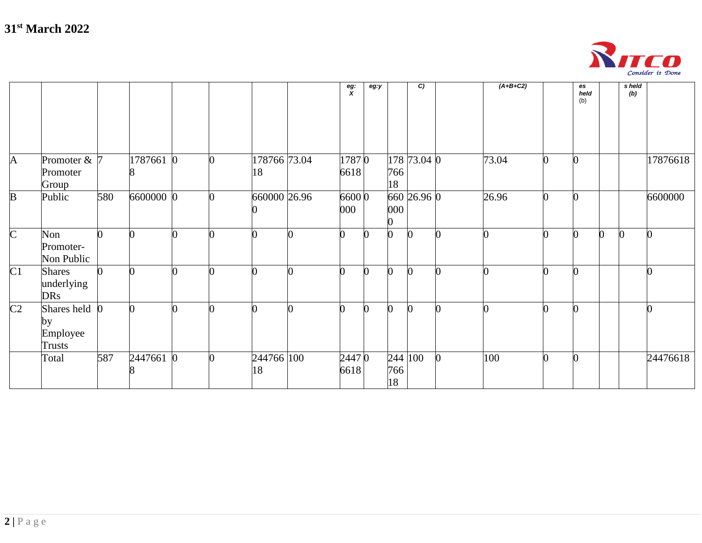

|                 |                                                  |     |           |  |                    | eg:<br>$\chi$ | eg:y |                      | C           |          | $(A+B+C2)$ |   | es<br>held<br>(b) |   | s held<br>(b) |                |
|-----------------|--------------------------------------------------|-----|-----------|--|--------------------|---------------|------|----------------------|-------------|----------|------------|---|-------------------|---|---------------|----------------|
| $\mathbf{A}$    | Promoter $& 7$<br>Promoter<br>Group              |     | 1787661 0 |  | 178766 73.04<br>18 | 17870<br>6618 |      | 766<br>18            | 178 73.04 0 |          | 73.04      | n | $\bf{0}$          |   |               | 17876618       |
| $\mathbf{B}$    | Public                                           | 580 | 6600000 0 |  | 660000 26.96       | 66000<br>000  |      | 000                  | 660 26.96 0 |          | 26.96      |   | Ю                 |   |               | 6600000        |
| $\overline{C}$  | Non<br>Promoter-<br>Non Public                   |     |           |  | ∩                  | n             |      | O                    |             | O        |            |   | 0                 | n | $\Omega$      | $\overline{0}$ |
| $\overline{C1}$ | <b>Shares</b><br>underlying<br><b>DRs</b>        |     |           |  |                    | O             |      | 0                    |             | $\bf{0}$ |            |   | $\Omega$          |   |               | 0              |
| C <sub>2</sub>  | Shares held 0<br>by<br>Employee<br><b>Trusts</b> |     |           |  |                    | 0             |      | O                    |             | 0        |            |   | $\Omega$          |   |               | $\overline{0}$ |
|                 | Total                                            | 587 | 2447661 0 |  | 244766 100<br>18   | 24470<br>6618 |      | 244 100<br>766<br>18 |             | $\bf{0}$ | 100        |   | $\bf{0}$          |   |               | 24476618       |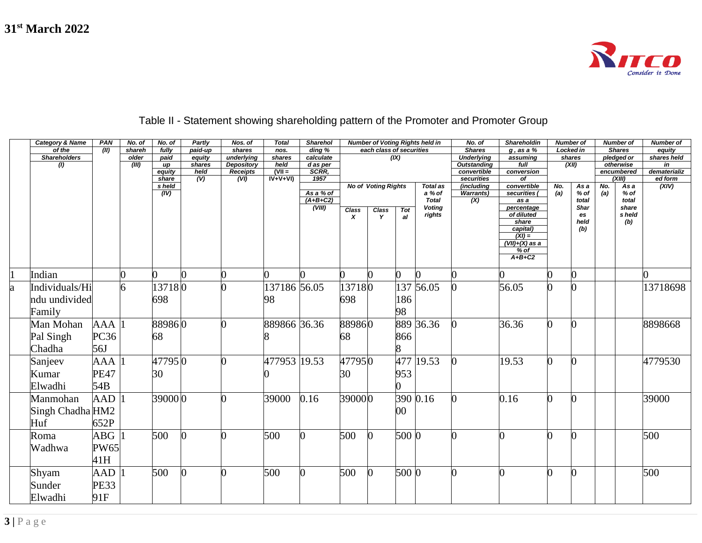

|   | <b>Category &amp; Name</b> | PAN                           | No. of | No. of  | Partly                    | Nos. of          | <b>Total</b> | <b>Sharehol</b> |              |                            |       | <b>Number of Voting Rights held in</b> | No. of             | Shareholdin                                    | <b>Number of</b> |            |     | <b>Number of</b> | <b>Number of</b> |
|---|----------------------------|-------------------------------|--------|---------|---------------------------|------------------|--------------|-----------------|--------------|----------------------------|-------|----------------------------------------|--------------------|------------------------------------------------|------------------|------------|-----|------------------|------------------|
|   | of the                     | (III)                         | shareh | fully   | paid-up                   | shares           | nos.         | ding %          |              | each class of securities   |       |                                        | <b>Shares</b>      | $g$ , as a $%$                                 |                  | Locked in  |     | <b>Shares</b>    | equity           |
|   | <b>Shareholders</b>        |                               | older  | paid    | equity                    | underlying       | shares       | calculate       |              |                            | (X)   |                                        | <b>Underlying</b>  | assuming                                       |                  | shares     |     | pledged or       | shares held      |
|   | (1)                        |                               | (III)  | up      | shares                    | Depository       | held         | d as per        |              |                            |       |                                        | <b>Outstanding</b> | full                                           |                  | (XII)      |     | otherwise        | in               |
|   |                            |                               |        | equity  | held                      | <b>Receipts</b>  | $(VII =$     | SCRR,           |              |                            |       |                                        | convertible        | conversion                                     |                  |            |     | encumbered       | dematerializ     |
|   |                            |                               |        | share   | $\overline{(\mathsf{V})}$ | $\overline{(V)}$ | $IV+V+VI)$   | 1957            |              |                            |       |                                        | securities         | of                                             |                  |            |     | (XIII)           | ed form          |
|   |                            |                               |        | s held  |                           |                  |              |                 |              | <b>No of Voting Rights</b> |       | <b>Total as</b>                        | (including         | convertible                                    | No.              | As a       | No. | As a             | (XIV)            |
|   |                            |                               |        | (IV)    |                           |                  |              | As a % of       |              |                            |       | a % of                                 | <b>Warrants)</b>   | securities                                     | (a)              | $%$ of     | (a) | $%$ of           |                  |
|   |                            |                               |        |         |                           |                  |              | $(A+B+C2)$      |              |                            |       | <b>Total</b>                           | (X)                | $\overline{as}$ as                             |                  | total      |     | total            |                  |
|   |                            |                               |        |         |                           |                  |              | (VIII)          | <b>Class</b> | Class                      | Tot   | <b>Voting</b>                          |                    | percentage<br>of diluted                       |                  | Shar       |     | share<br>s held  |                  |
|   |                            |                               |        |         |                           |                  |              |                 | x            | Y                          | al    | rights                                 |                    | share                                          |                  | es<br>held |     |                  |                  |
|   |                            |                               |        |         |                           |                  |              |                 |              |                            |       |                                        |                    | capital)                                       |                  | (b)        |     | (b)              |                  |
|   |                            |                               |        |         |                           |                  |              |                 |              |                            |       |                                        |                    | $(XI) =$                                       |                  |            |     |                  |                  |
|   |                            |                               |        |         |                           |                  |              |                 |              |                            |       |                                        |                    |                                                |                  |            |     |                  |                  |
|   |                            |                               |        |         |                           |                  |              |                 |              |                            |       |                                        |                    | $\frac{(VII)+(X) \text{ as a}}{\% \text{ of}}$ |                  |            |     |                  |                  |
|   |                            |                               |        |         |                           |                  |              |                 |              |                            |       |                                        |                    | $A+B+C2$                                       |                  |            |     |                  |                  |
|   |                            |                               |        |         |                           |                  |              |                 |              |                            |       |                                        |                    |                                                |                  |            |     |                  |                  |
|   | Indian                     |                               |        |         |                           |                  |              |                 |              |                            |       |                                        |                    |                                                |                  | 0          |     |                  |                  |
| a | Individuals/Hi             |                               | 6      | 137180  |                           |                  | 137186 56.05 |                 | 137180       |                            |       | 137 56.05                              |                    | 56.05                                          |                  | $\Omega$   |     |                  | 13718698         |
|   | ndu undivided              |                               |        | 698     |                           |                  | 98           |                 | 698          |                            | 186   |                                        |                    |                                                |                  |            |     |                  |                  |
|   |                            |                               |        |         |                           |                  |              |                 |              |                            |       |                                        |                    |                                                |                  |            |     |                  |                  |
|   | Family                     |                               |        |         |                           |                  |              |                 |              |                            | 98    |                                        |                    |                                                |                  |            |     |                  |                  |
|   | Man Mohan                  | AAA                           |        | 889860  |                           |                  | 889866 36.36 |                 | 889860       |                            |       | 889 36.36                              |                    | 36.36                                          | 0                | 0          |     |                  | 8898668          |
|   | Pal Singh                  | PC36                          |        | 68      |                           |                  |              |                 | 68           |                            | 866   |                                        |                    |                                                |                  |            |     |                  |                  |
|   |                            |                               |        |         |                           |                  |              |                 |              |                            |       |                                        |                    |                                                |                  |            |     |                  |                  |
|   | Chadha                     | 56J                           |        |         |                           |                  |              |                 |              |                            |       |                                        |                    |                                                |                  |            |     |                  |                  |
|   | Sanjeev                    | AAA                           |        | 477950  |                           |                  | 477953 19.53 |                 | 477950       |                            |       | 477 19.53                              | 0                  | 19.53                                          | 0                | O          |     |                  | 4779530          |
|   |                            |                               |        |         |                           |                  |              |                 |              |                            |       |                                        |                    |                                                |                  |            |     |                  |                  |
|   | Kumar                      | <b>PE47</b>                   |        | 30      |                           |                  |              |                 | 30           |                            | 953   |                                        |                    |                                                |                  |            |     |                  |                  |
|   | Elwadhi                    | 54B                           |        |         |                           |                  |              |                 |              |                            |       |                                        |                    |                                                |                  |            |     |                  |                  |
|   | Manmohan                   | AAD <sup>1</sup>              |        | 39000 0 |                           |                  | 39000        | 0.16            | 390000       |                            |       | 390 0.16                               |                    | 0.16                                           |                  |            |     |                  | 39000            |
|   |                            |                               |        |         |                           |                  |              |                 |              |                            |       |                                        |                    |                                                |                  |            |     |                  |                  |
|   | Singh Chadha HM2           |                               |        |         |                           |                  |              |                 |              |                            | 00    |                                        |                    |                                                |                  |            |     |                  |                  |
|   |                            |                               |        |         |                           |                  |              |                 |              |                            |       |                                        |                    |                                                |                  |            |     |                  |                  |
|   | Huf                        | 652P                          |        |         |                           |                  |              |                 |              |                            |       |                                        |                    |                                                |                  |            |     |                  |                  |
|   | Roma                       | $\mathbf A\mathbf B\mathbf G$ |        | 500     | $\Omega$                  |                  | 500          | n               | 500          | $\Omega$                   | 500 0 |                                        |                    |                                                |                  |            |     |                  | 500              |
|   | Wadhwa                     | <b>PW65</b>                   |        |         |                           |                  |              |                 |              |                            |       |                                        |                    |                                                |                  |            |     |                  |                  |
|   |                            |                               |        |         |                           |                  |              |                 |              |                            |       |                                        |                    |                                                |                  |            |     |                  |                  |
|   |                            | 41H                           |        |         |                           |                  |              |                 |              |                            |       |                                        |                    |                                                |                  |            |     |                  |                  |
|   | Shyam                      | <b>AAD</b>                    |        | 500     | $\boldsymbol{0}$          |                  | 500          | $\overline{0}$  | 500          | $\overline{0}$             | 500 0 |                                        |                    |                                                | ∩                | O          |     |                  | 500              |
|   |                            |                               |        |         |                           |                  |              |                 |              |                            |       |                                        |                    |                                                |                  |            |     |                  |                  |
|   | Sunder                     | <b>PE33</b>                   |        |         |                           |                  |              |                 |              |                            |       |                                        |                    |                                                |                  |            |     |                  |                  |
|   | Elwadhi                    | 91F                           |        |         |                           |                  |              |                 |              |                            |       |                                        |                    |                                                |                  |            |     |                  |                  |

## Table II - Statement showing shareholding pattern of the Promoter and Promoter Group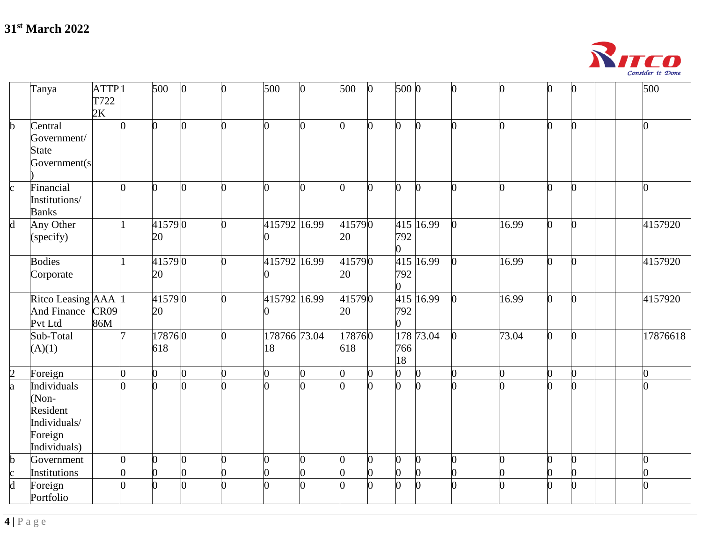

|                | Tanya                | ATTP <sub>1</sub> |                | 500    | $\Omega$ | $\bf{0}$ | 500            | 500            | $\mathbf{0}$ | 500 0 |           | $\boldsymbol{0}$ | ⋂              | 0              |                |  | 500            |
|----------------|----------------------|-------------------|----------------|--------|----------|----------|----------------|----------------|--------------|-------|-----------|------------------|----------------|----------------|----------------|--|----------------|
|                |                      | T722              |                |        |          |          |                |                |              |       |           |                  |                |                |                |  |                |
|                |                      | 2K                |                |        |          |          |                |                |              |       |           |                  |                |                |                |  |                |
| b              | Central              |                   | $\overline{0}$ | 0      |          | ∩        | $\overline{0}$ | $\overline{0}$ | n            | n.    | $\Omega$  | ∩                | ∩              | $\overline{0}$ | $\overline{0}$ |  | $\overline{0}$ |
|                | Government/          |                   |                |        |          |          |                |                |              |       |           |                  |                |                |                |  |                |
|                | <b>State</b>         |                   |                |        |          |          |                |                |              |       |           |                  |                |                |                |  |                |
|                | Government(s         |                   |                |        |          |          |                |                |              |       |           |                  |                |                |                |  |                |
|                |                      |                   |                |        |          |          |                |                |              |       |           |                  |                |                |                |  |                |
| $\mathbf{c}$   | Financial            |                   | 0              | 0      |          | n        | $\overline{0}$ | 0              | O.           | 0     | $\Omega$  | O                | 0              | $\overline{0}$ | 0              |  | $\overline{0}$ |
|                | Institutions/        |                   |                |        |          |          |                |                |              |       |           |                  |                |                |                |  |                |
|                | <b>Banks</b>         |                   |                |        |          |          |                |                |              |       |           |                  |                |                |                |  |                |
| $\mathbf d$    | Any Other            |                   |                | 415790 |          |          | 415792 16.99   | 415790         |              |       | 415 16.99 |                  | 16.99          | $\overline{0}$ | 0              |  | 4157920        |
|                | (specify)            |                   |                | 20     |          |          |                | 20             |              | 792   |           |                  |                |                |                |  |                |
|                |                      |                   |                |        |          |          |                |                |              |       |           |                  |                |                |                |  |                |
|                | <b>Bodies</b>        |                   |                | 415790 |          |          | 415792 16.99   | 415790         |              |       | 415 16.99 |                  | 16.99          | 0              | ∩              |  | 4157920        |
|                | Corporate            |                   |                | 20     |          |          | 0              | 20             |              | 792   |           |                  |                |                |                |  |                |
|                |                      |                   |                |        |          |          |                |                |              |       |           |                  |                |                |                |  |                |
|                | Ritco Leasing AAA  1 |                   |                | 415790 |          | n        | 415792 16.99   | 415790         |              |       | 415 16.99 | $\Omega$         | 16.99          | 0              | $\Omega$       |  | 4157920        |
|                | <b>And Finance</b>   | CR <sub>09</sub>  |                | 20     |          |          | 0              | 20             |              | 792   |           |                  |                |                |                |  |                |
|                | Pvt Ltd              | 86M               |                |        |          |          |                |                |              |       |           |                  |                |                |                |  |                |
|                | Sub-Total            |                   |                | 178760 |          |          | 178766 73.04   | 178760         |              |       | 178 73.04 |                  | 73.04          | $\overline{0}$ | 0              |  | 17876618       |
|                | (A)(1)               |                   |                | 618    |          |          | 18             | 618            |              | 766   |           |                  |                |                |                |  |                |
|                |                      |                   |                |        |          |          |                |                |              | 18    |           |                  |                |                |                |  |                |
| $\overline{2}$ | Foreign              |                   | O              | 0      |          |          | $\overline{0}$ | 0              |              |       | 0         |                  | 0              | 0              | $\overline{0}$ |  | $\overline{0}$ |
| a              | Individuals          |                   |                |        |          |          | 0              | n              |              |       |           |                  |                |                | 0              |  | $\Omega$       |
|                | (Non-                |                   |                |        |          |          |                |                |              |       |           |                  |                |                |                |  |                |
|                | Resident             |                   |                |        |          |          |                |                |              |       |           |                  |                |                |                |  |                |
|                | Individuals/         |                   |                |        |          |          |                |                |              |       |           |                  |                |                |                |  |                |
|                | Foreign              |                   |                |        |          |          |                |                |              |       |           |                  |                |                |                |  |                |
|                | Individuals)         |                   |                |        |          |          |                |                |              |       |           |                  |                |                |                |  |                |
| b              | Government           |                   | $\overline{0}$ | 0      |          |          | 0              | $\overline{0}$ |              |       |           |                  | $\overline{0}$ | 0              | $\overline{0}$ |  |                |
| $\mathbf{c}$   | Institutions         |                   | $\overline{0}$ | 0      |          | O        | $\overline{0}$ | 0              | 0            |       | ∩         | 0                | 0              | 0              | $\overline{0}$ |  | $\overline{0}$ |
| $\mathbf d$    | Foreign              |                   | O              |        |          |          | $\overline{0}$ | ∩              |              |       |           |                  |                | $\overline{0}$ | $\overline{0}$ |  | 0              |
|                | Portfolio            |                   |                |        |          |          |                |                |              |       |           |                  |                |                |                |  |                |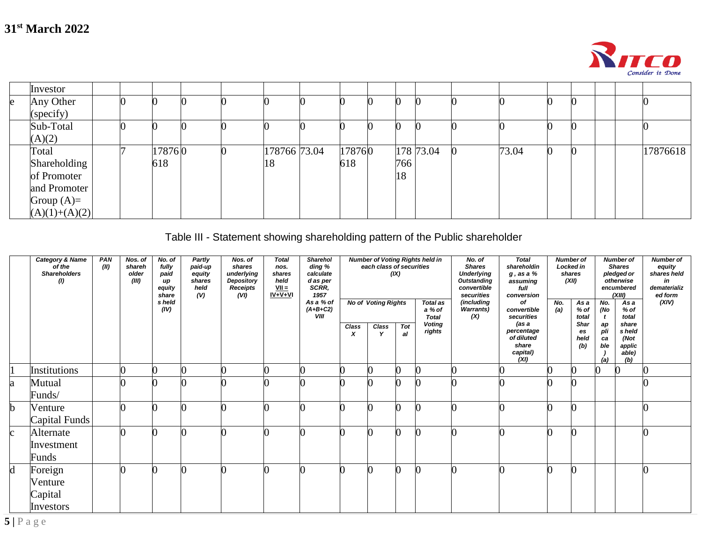

|   |                 |  |        |  |              |        |     |           |       |  |  | COINNAI H DOIN |
|---|-----------------|--|--------|--|--------------|--------|-----|-----------|-------|--|--|----------------|
|   | Investor        |  |        |  |              |        |     |           |       |  |  |                |
| e | Any Other       |  |        |  |              |        |     |           |       |  |  |                |
|   | (specify)       |  |        |  |              |        |     |           |       |  |  |                |
|   | Sub-Total       |  |        |  |              |        |     |           |       |  |  |                |
|   | (A)(2)          |  |        |  |              |        |     |           |       |  |  |                |
|   | Total           |  | 178760 |  | 178766 73.04 | 178760 |     | 178 73.04 | 73.04 |  |  | 17876618       |
|   | Shareholding    |  | 618    |  | 18           | 618    | 766 |           |       |  |  |                |
|   | of Promoter     |  |        |  |              |        | 18  |           |       |  |  |                |
|   | and Promoter    |  |        |  |              |        |     |           |       |  |  |                |
|   | Group $(A)=$    |  |        |  |              |        |     |           |       |  |  |                |
|   | $(A)(1)+(A)(2)$ |  |        |  |              |        |     |           |       |  |  |                |

Table III - Statement showing shareholding pattern of the Public shareholder

|              | Category & Name     | <b>PAN</b> | Nos. of | No. of       | Partly         | Nos. of                       | <b>Total</b>    | Sharehol          |                  |                            |     | <b>Number of Voting Rights held in</b> | No. of                     | <b>Total</b>             |     | <b>Number of</b> |              | <b>Number of</b>        | <b>Number of</b>   |
|--------------|---------------------|------------|---------|--------------|----------------|-------------------------------|-----------------|-------------------|------------------|----------------------------|-----|----------------------------------------|----------------------------|--------------------------|-----|------------------|--------------|-------------------------|--------------------|
|              | of the              | (III)      | shareh  | fully        | paid-up        | shares                        | nos.            | ding %            |                  | each class of securities   |     |                                        | <b>Shares</b>              | shareholdin              |     | Locked in        |              | <b>Shares</b>           | equity             |
|              | <b>Shareholders</b> |            | older   | paid         | equity         | underlying                    | shares          | calculate         | (IX)             |                            |     |                                        | <b>Underlying</b>          | $g$ , as a $%$           |     | shares           |              | pledged or              | shares held        |
|              | (1)                 |            | (III)   | иp<br>equity | shares<br>held | Depository<br><b>Receipts</b> | held<br>$VII =$ | d as per<br>SCRR, |                  |                            |     |                                        | Outstanding<br>convertible | assuming<br>full         |     | (XII)            |              | otherwise<br>encumbered | in<br>dematerializ |
|              |                     |            |         | share        | (V)            | (VI)                          | $IV + V + VI$   | 1957              |                  |                            |     |                                        | securities                 | conversion               |     |                  |              | (XIII)                  | ed form            |
|              |                     |            |         | s held       |                |                               |                 | As a % of         |                  | <b>No of Voting Rights</b> |     | Total as                               | (including                 | оf                       | No. | As a             | No.          | As a                    | (XIV)              |
|              |                     |            |         | (IV)         |                |                               |                 | $(A+B+C2)$        |                  |                            |     | a % of                                 | <b>Warrants)</b>           | convertible              | (a) | % of             | (No          | % of                    |                    |
|              |                     |            |         |              |                |                               |                 | VIII              |                  |                            |     | <b>Total</b>                           | (X)                        | securities               |     | total            | $\mathbf{t}$ | total                   |                    |
|              |                     |            |         |              |                |                               |                 |                   | Class            | Class                      | Tot | <b>Voting</b>                          |                            | (as a                    |     | <b>Shar</b>      | ap           | share                   |                    |
|              |                     |            |         |              |                |                               |                 |                   | $\boldsymbol{x}$ | Y                          | al  | rights                                 |                            | percentage<br>of diluted |     | es<br>held       | pli<br>ca    | s held<br>(Not          |                    |
|              |                     |            |         |              |                |                               |                 |                   |                  |                            |     |                                        |                            | share                    |     | (b)              | ble          | applic                  |                    |
|              |                     |            |         |              |                |                               |                 |                   |                  |                            |     |                                        |                            | capital)                 |     |                  |              | able)                   |                    |
|              |                     |            |         |              |                |                               |                 |                   |                  |                            |     |                                        |                            | (XI)                     |     |                  | (a)          | (b)                     |                    |
|              | Institutions        |            |         |              |                |                               |                 |                   |                  |                            |     |                                        |                            |                          |     |                  |              |                         |                    |
| а            | Mutual              |            |         |              |                |                               |                 |                   |                  |                            |     |                                        |                            |                          |     |                  |              |                         |                    |
|              | Funds/              |            |         |              |                |                               |                 |                   |                  |                            |     |                                        |                            |                          |     |                  |              |                         |                    |
|              |                     |            |         |              |                |                               |                 |                   |                  |                            |     |                                        |                            |                          |     |                  |              |                         |                    |
| b            | Venture             |            |         |              |                |                               |                 |                   |                  |                            |     |                                        |                            |                          |     |                  |              |                         |                    |
|              | Capital Funds       |            |         |              |                |                               |                 |                   |                  |                            |     |                                        |                            |                          |     |                  |              |                         |                    |
| $\mathbf{c}$ | Alternate           |            |         |              |                |                               |                 |                   |                  |                            |     |                                        |                            |                          |     |                  |              |                         |                    |
|              |                     |            |         |              |                |                               |                 |                   |                  |                            |     |                                        |                            |                          |     |                  |              |                         |                    |
|              | Investment          |            |         |              |                |                               |                 |                   |                  |                            |     |                                        |                            |                          |     |                  |              |                         |                    |
|              | Funds               |            |         |              |                |                               |                 |                   |                  |                            |     |                                        |                            |                          |     |                  |              |                         |                    |
| $\mathsf d$  | Foreign             |            |         |              |                |                               |                 |                   |                  |                            |     |                                        |                            |                          |     | ∩                |              |                         |                    |
|              | Venture             |            |         |              |                |                               |                 |                   |                  |                            |     |                                        |                            |                          |     |                  |              |                         |                    |
|              | Capital             |            |         |              |                |                               |                 |                   |                  |                            |     |                                        |                            |                          |     |                  |              |                         |                    |
|              | Investors           |            |         |              |                |                               |                 |                   |                  |                            |     |                                        |                            |                          |     |                  |              |                         |                    |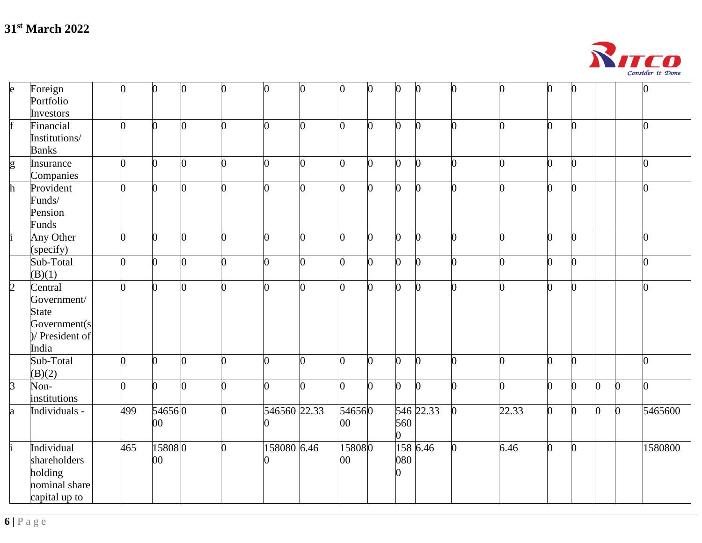

| e              | Foreign         | $\overline{0}$ | $\Omega$       | O. | 0            | 0              | $\overline{0}$ | 0              | O  | $\overline{0}$ | $\Omega$     | 0              | n     | $\boldsymbol{0}$ | 0              |                |         |
|----------------|-----------------|----------------|----------------|----|--------------|----------------|----------------|----------------|----|----------------|--------------|----------------|-------|------------------|----------------|----------------|---------|
|                | Portfolio       |                |                |    |              |                |                |                |    |                |              |                |       |                  |                |                |         |
|                | Investors       |                |                |    |              |                |                |                |    |                |              |                |       |                  |                |                |         |
|                | Financial       | 0              | n              | O. | <sup>0</sup> | 0              | $\overline{0}$ | $\Omega$       | ∩  | $\overline{0}$ | n.           | 0              | n     | 0                | $\overline{0}$ |                |         |
|                | Institutions/   |                |                |    |              |                |                |                |    |                |              |                |       |                  |                |                |         |
|                | <b>Banks</b>    |                |                |    |              |                |                |                |    |                |              |                |       |                  |                |                |         |
| g              | Insurance       | $\overline{0}$ | $\overline{0}$ | 0  | $\Omega$     | $\overline{0}$ | $\overline{0}$ | 0              | O. | $\overline{0}$ | 0            | $\overline{0}$ | O     | $\overline{0}$   | $\overline{0}$ |                | 0       |
|                | Companies       |                |                |    |              |                |                |                |    |                |              |                |       |                  |                |                |         |
| h              | Provident       | 0              | ∩              | O. |              | 0              | $\overline{0}$ | n              |    | $\overline{0}$ | <sub>0</sub> | 0              | O     | $\overline{0}$   | $\overline{0}$ |                |         |
|                | Funds/          |                |                |    |              |                |                |                |    |                |              |                |       |                  |                |                |         |
|                | Pension         |                |                |    |              |                |                |                |    |                |              |                |       |                  |                |                |         |
|                | Funds           |                |                |    |              |                |                |                |    |                |              |                |       |                  |                |                |         |
|                | Any Other       | n.             | n              | n  |              | $\overline{0}$ | $\overline{0}$ | $\overline{0}$ |    | $\overline{0}$ | 0            | O.             | n     | $\overline{0}$   | $\overline{0}$ |                |         |
|                | (specify)       |                |                |    |              |                |                |                |    |                |              |                |       |                  |                |                |         |
|                | Sub-Total       | O.             | ∩              |    |              | 0              | $\overline{0}$ |                |    | 0              | O.           | 0              | 0     | 0                | $\overline{0}$ |                |         |
|                | (B)(1)          |                |                |    |              |                |                |                |    |                |              |                |       |                  |                |                |         |
| $\overline{2}$ | Central         | 0              | <sup>0</sup>   | 0  | 0            | 0              | $\overline{0}$ | $\Omega$       |    | $\overline{0}$ | O            | O.             | O     | 0                | $\overline{0}$ |                |         |
|                | Government/     |                |                |    |              |                |                |                |    |                |              |                |       |                  |                |                |         |
|                | <b>State</b>    |                |                |    |              |                |                |                |    |                |              |                |       |                  |                |                |         |
|                | Government(s)   |                |                |    |              |                |                |                |    |                |              |                |       |                  |                |                |         |
|                | )/ President of |                |                |    |              |                |                |                |    |                |              |                |       |                  |                |                |         |
|                | India           |                |                |    |              |                |                |                |    |                |              |                |       |                  |                |                |         |
|                | Sub-Total       | b.             | n              | n. | n            | 0              | $\overline{0}$ | b              |    | $\Omega$       | <sub>0</sub> | O.             | b     | $\overline{0}$   | $\Omega$       |                |         |
|                | (B)(2)          |                |                |    |              |                |                |                |    |                |              |                |       |                  |                |                |         |
| $\beta$        | Non-            | 0              | $\Omega$       | n  |              | 0              | $\overline{0}$ | 0              |    | $\overline{0}$ | <sub>0</sub> | 0              | 0     | $\overline{0}$   | $\overline{0}$ | $\overline{0}$ |         |
|                | institutions    |                |                |    |              |                |                |                |    |                |              |                |       |                  |                |                |         |
| a              | Individuals -   | 499            | 546560         |    |              | 546560 22.33   |                | 546560         |    |                | 546 22.33    | 0              | 22.33 | $\overline{0}$   | 0              | $\overline{0}$ | 5465600 |
|                |                 |                | 00             |    |              |                |                | 00             |    | 560            |              |                |       |                  |                |                |         |
|                |                 |                |                |    |              |                |                |                |    | 0              |              |                |       |                  |                |                |         |
|                | Individual      | 465            | 158080         |    |              | 158080 6.46    |                | 158080         |    |                | 158 6.46     | 0              | 6.46  | $\overline{0}$   | $\overline{0}$ |                | 1580800 |
|                | shareholders    |                | $00\,$         |    |              |                |                | 00             |    | 080            |              |                |       |                  |                |                |         |
|                | holding         |                |                |    |              |                |                |                |    | 0              |              |                |       |                  |                |                |         |
|                | nominal share   |                |                |    |              |                |                |                |    |                |              |                |       |                  |                |                |         |
|                | capital up to   |                |                |    |              |                |                |                |    |                |              |                |       |                  |                |                |         |
|                |                 |                |                |    |              |                |                |                |    |                |              |                |       |                  |                |                |         |
|                | 6 Page          |                |                |    |              |                |                |                |    |                |              |                |       |                  |                |                |         |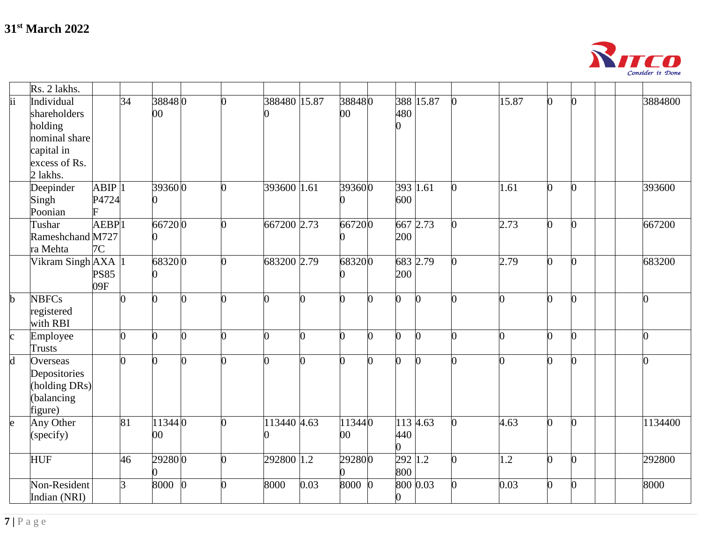

|             | Rs. 2 lakhs.     |                      |    |        |   |   |              |      |        |    |                      |           |   |       |          |              |         |
|-------------|------------------|----------------------|----|--------|---|---|--------------|------|--------|----|----------------------|-----------|---|-------|----------|--------------|---------|
| ii          | Individual       |                      | 34 | 388480 |   | 0 | 388480 15.87 |      | 388480 |    |                      | 388 15.87 | 0 | 15.87 | ∩        | n            | 3884800 |
|             | shareholders     |                      |    | 00     |   |   |              |      | 00     |    | 480                  |           |   |       |          |              |         |
|             | holding          |                      |    |        |   |   |              |      |        |    |                      |           |   |       |          |              |         |
|             | nominal share    |                      |    |        |   |   |              |      |        |    |                      |           |   |       |          |              |         |
|             | capital in       |                      |    |        |   |   |              |      |        |    |                      |           |   |       |          |              |         |
|             | excess of Rs.    |                      |    |        |   |   |              |      |        |    |                      |           |   |       |          |              |         |
|             | 2 lakhs.         |                      |    |        |   |   |              |      |        |    |                      |           |   |       |          |              |         |
|             | Deepinder        | $\overline{ABIP}$  1 |    | 393600 |   | 0 | 393600 1.61  |      | 393600 |    |                      | 393 1.61  | 0 | 1.61  | 0        | <sub>0</sub> | 393600  |
|             | Singh            | P4724                |    |        |   |   |              |      |        |    | 600                  |           |   |       |          |              |         |
|             | Poonian          |                      |    |        |   |   |              |      |        |    |                      |           |   |       |          |              |         |
|             | Tushar           | AEBP <sub>1</sub>    |    | 667200 |   | 0 | 667200 2.73  |      | 667200 |    |                      | 667 2.73  | 0 | 2.73  | 0        | n            | 667200  |
|             | Rameshchand M727 |                      |    |        |   |   |              |      |        |    | 200                  |           |   |       |          |              |         |
|             | ra Mehta         | 7C                   |    |        |   |   |              |      |        |    |                      |           |   |       |          |              |         |
|             | Vikram Singh AXA |                      |    | 683200 |   | 0 | 683200 2.79  |      | 683200 |    |                      | 683 2.79  | 0 | 2.79  | n        | n            | 683200  |
|             |                  | <b>PS85</b>          |    |        |   |   |              |      |        |    | 200                  |           |   |       |          |              |         |
|             |                  | 09F                  |    |        |   |   |              |      |        |    |                      |           |   |       |          |              |         |
| $\mathbf b$ | <b>NBFCs</b>     |                      |    |        |   | 0 | n            | ∩    |        | U  | $\Omega$             |           |   | n     | $\Omega$ |              | ∩       |
|             | registered       |                      |    |        |   |   |              |      |        |    |                      |           |   |       |          |              |         |
|             | with RBI         |                      |    |        |   |   |              |      |        |    |                      |           |   |       |          |              |         |
| $\mathbf c$ | Employee         |                      |    |        | ሰ | 0 | U            | ∩    | ∩      | U  | ∩                    | $\Omega$  | ∩ | 0     | O        | n            | ∩       |
|             | <b>Trusts</b>    |                      |    |        |   |   |              |      |        |    |                      |           |   |       |          |              |         |
| $\mathbf d$ | Overseas         |                      |    |        |   | 0 | 0            | 0    | 0      | O. | 0                    | b         | ∩ | 0     | 0        | 0            | 0       |
|             | Depositories     |                      |    |        |   |   |              |      |        |    |                      |           |   |       |          |              |         |
|             | (holding DRs)    |                      |    |        |   |   |              |      |        |    |                      |           |   |       |          |              |         |
|             | (balancing       |                      |    |        |   |   |              |      |        |    |                      |           |   |       |          |              |         |
|             | figure)          |                      |    |        |   |   |              |      |        |    |                      |           |   |       |          |              |         |
| le          | Any Other        |                      | 81 | 113440 |   |   | 113440 4.63  |      | 113440 |    |                      | 113 4.63  | 0 | 4.63  | O        | n            | 1134400 |
|             | (specify)        |                      |    | 00     |   |   |              |      | 00     |    | 440                  |           |   |       |          |              |         |
|             |                  |                      |    |        |   |   |              |      |        |    |                      |           |   |       |          |              |         |
|             | <b>HUF</b>       |                      | 46 | 292800 |   | 0 | 292800 1.2   |      | 292800 |    | $\overline{292}$ 1.2 |           | 0 | 1.2   | 0        | n            | 292800  |
|             |                  |                      |    |        |   |   |              |      |        |    | 800                  |           |   |       |          |              |         |
|             | Non-Resident     |                      | R  | 8000   | n | 0 | 8000         | 0.03 | 8000 0 |    |                      | 800 0.03  | 0 | 0.03  | 0        | U            | 8000    |
|             | Indian (NRI)     |                      |    |        |   |   |              |      |        |    |                      |           |   |       |          |              |         |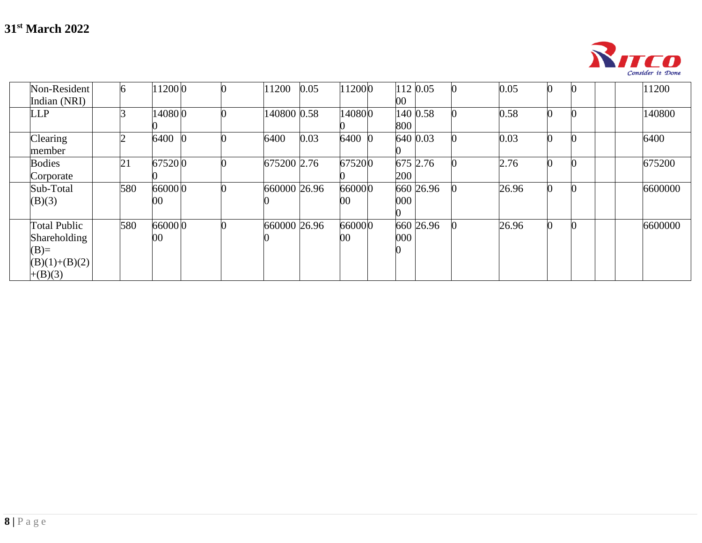

|                                                                               |     |               |  |              |      |                  |        |           |       |  | COIMMOI II DOIN |
|-------------------------------------------------------------------------------|-----|---------------|--|--------------|------|------------------|--------|-----------|-------|--|-----------------|
| Non-Resident<br>Indian (NRI)                                                  | 6   | 112000        |  | 11200        | 0.05 | 112000           | $00\,$ | 112 0.05  | 0.05  |  | 11200           |
| <b>LLP</b>                                                                    |     | 140800        |  | 140800 0.58  |      | 140800           | 800    | 140 0.58  | 0.58  |  | 140800          |
| Clearing<br>member                                                            |     | 6400          |  | 6400         | 0.03 | 6400             |        | 640 0.03  | 0.03  |  | 6400            |
| <b>Bodies</b><br>Corporate                                                    | 21  | 675200        |  | 675200 2.76  |      | 675200           | 200    | 675 2.76  | 2.76  |  | 675200          |
| Sub-Total<br>(B)(3)                                                           | 580 | 66000 0<br>00 |  | 660000 26.96 |      | 660000<br>00     | 000    | 660 26.96 | 26.96 |  | 6600000         |
| <b>Total Public</b><br>Shareholding<br>$(B)=$<br>$(B)(1)+(B)(2)$<br>$+(B)(3)$ | 580 | 66000 0<br>00 |  | 660000 26.96 |      | 660000<br>$00\,$ | 000    | 660 26.96 | 26.96 |  | 6600000         |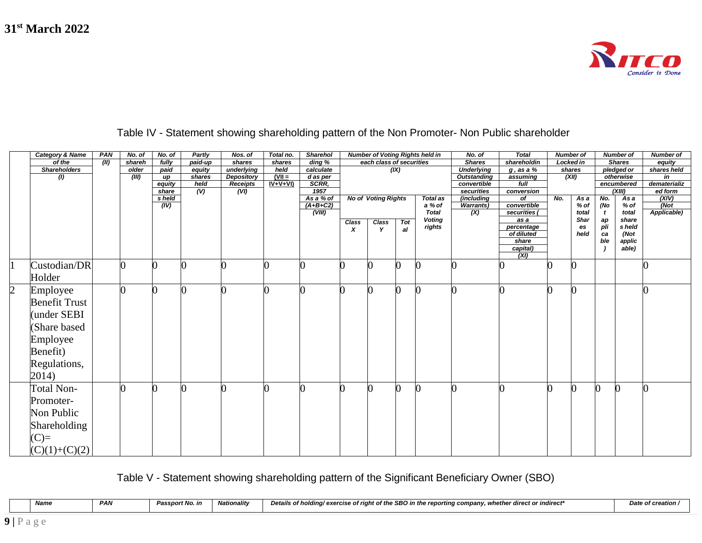

|                | <b>Category &amp; Name</b> | PAN  | No. of   | No. of          | Partly      | Nos. of                 | Total no.          | <b>Sharehol</b>        |       |                            |     | <b>Number of Voting Rights held in</b> | No. of                    | <b>Total</b>        |     | <b>Number of</b> |           | <b>Number of</b>     | <b>Number of</b>        |
|----------------|----------------------------|------|----------|-----------------|-------------|-------------------------|--------------------|------------------------|-------|----------------------------|-----|----------------------------------------|---------------------------|---------------------|-----|------------------|-----------|----------------------|-------------------------|
|                | of the                     | (II) | shareh   | fully           | paid-up     | shares                  | shares             | $\overline{ding} \ \%$ |       | each class of securities   |     |                                        | <b>Shares</b>             | shareholdin         |     | Locked in        |           | <b>Shares</b>        | equity                  |
|                | <b>Shareholders</b>        |      | older    | paid            | equity      | underlying              | held               | calculate              |       |                            | (X) |                                        | <b>Underlying</b>         | $g$ , as a $%$      |     | shares           |           | pledged or           | shares held             |
|                | (1)                        |      | (III)    | up              | shares      | <b>Depository</b>       | $N =$<br>$IV+V+VI$ | d as per<br>SCRR,      |       |                            |     |                                        | <b>Outstanding</b>        | assuming            |     | (XII)            |           | otherwise            | in                      |
|                |                            |      |          | equity<br>share | held<br>(V) | <b>Receipts</b><br>(VI) |                    | 1957                   |       |                            |     |                                        | convertible<br>securities | full<br>conversion  |     |                  |           | encumbered<br>(XIII) | dematerializ<br>ed form |
|                |                            |      |          | s held          |             |                         |                    | As a % of              |       | <b>No of Voting Rights</b> |     | <b>Total as</b>                        | (including                | of                  | No. | $\overline{Asa}$ | No.       | As a                 | (XIV)                   |
|                |                            |      |          | (IV)            |             |                         |                    | $(A+B+C2)$             |       |                            |     | a % of                                 | <b>Warrants)</b>          | convertible         |     | $%$ of           | (No       | % of                 | (Not)                   |
|                |                            |      |          |                 |             |                         |                    | (VIII)                 |       |                            |     | <b>Total</b>                           | $\overline{(\mathsf{X})}$ | securities (        |     | total            |           | total                | Applicable)             |
|                |                            |      |          |                 |             |                         |                    |                        | Class | Class                      | Tot | <b>Voting</b>                          |                           | as a                |     | <b>Shar</b>      | ap<br>pli | share                |                         |
|                |                            |      |          |                 |             |                         |                    |                        | x     |                            | al  | rights                                 |                           | percentage          |     | es               |           | s held               |                         |
|                |                            |      |          |                 |             |                         |                    |                        |       |                            |     |                                        |                           | of diluted<br>share |     | held             | ca        | (Not                 |                         |
|                |                            |      |          |                 |             |                         |                    |                        |       |                            |     |                                        |                           | capital)            |     |                  | ble       | applic<br>able)      |                         |
|                |                            |      |          |                 |             |                         |                    |                        |       |                            |     |                                        |                           | $\overline{(X)}$    |     |                  |           |                      |                         |
|                | Custodian/DR<br>Holder     |      | $\bf{0}$ |                 |             |                         |                    |                        |       |                            |     |                                        |                           |                     |     |                  |           |                      |                         |
|                |                            |      |          |                 |             |                         |                    | 0                      |       |                            |     |                                        |                           |                     |     |                  |           |                      |                         |
| $\overline{c}$ | Employee                   |      |          |                 |             |                         |                    |                        |       |                            |     |                                        |                           |                     |     |                  |           |                      |                         |
|                | <b>Benefit Trust</b>       |      |          |                 |             |                         |                    |                        |       |                            |     |                                        |                           |                     |     |                  |           |                      |                         |
|                | (under SEBI                |      |          |                 |             |                         |                    |                        |       |                            |     |                                        |                           |                     |     |                  |           |                      |                         |
|                |                            |      |          |                 |             |                         |                    |                        |       |                            |     |                                        |                           |                     |     |                  |           |                      |                         |
|                | (Share based               |      |          |                 |             |                         |                    |                        |       |                            |     |                                        |                           |                     |     |                  |           |                      |                         |
|                | Employee                   |      |          |                 |             |                         |                    |                        |       |                            |     |                                        |                           |                     |     |                  |           |                      |                         |
|                |                            |      |          |                 |             |                         |                    |                        |       |                            |     |                                        |                           |                     |     |                  |           |                      |                         |
|                | Benefit)                   |      |          |                 |             |                         |                    |                        |       |                            |     |                                        |                           |                     |     |                  |           |                      |                         |
|                | Regulations,               |      |          |                 |             |                         |                    |                        |       |                            |     |                                        |                           |                     |     |                  |           |                      |                         |
|                |                            |      |          |                 |             |                         |                    |                        |       |                            |     |                                        |                           |                     |     |                  |           |                      |                         |
|                | 2014)                      |      |          |                 |             |                         |                    |                        |       |                            |     |                                        |                           |                     |     |                  |           |                      |                         |
|                | <b>Total Non-</b>          |      |          |                 |             |                         |                    | 0                      |       |                            |     |                                        |                           |                     |     |                  | 0         | 0                    |                         |
|                | Promoter-                  |      |          |                 |             |                         |                    |                        |       |                            |     |                                        |                           |                     |     |                  |           |                      |                         |
|                | Non Public                 |      |          |                 |             |                         |                    |                        |       |                            |     |                                        |                           |                     |     |                  |           |                      |                         |
|                |                            |      |          |                 |             |                         |                    |                        |       |                            |     |                                        |                           |                     |     |                  |           |                      |                         |
|                | Shareholding               |      |          |                 |             |                         |                    |                        |       |                            |     |                                        |                           |                     |     |                  |           |                      |                         |
|                | $(C)=$                     |      |          |                 |             |                         |                    |                        |       |                            |     |                                        |                           |                     |     |                  |           |                      |                         |
|                | $(C)(1)+(C)(2)$            |      |          |                 |             |                         |                    |                        |       |                            |     |                                        |                           |                     |     |                  |           |                      |                         |

## Table IV - Statement showing shareholding pattern of the Non Promoter- Non Public shareholder

Table V - Statement showing shareholding pattern of the Significant Beneficiary Owner (SBO)

|  | <b>Name</b> | <b>PAN</b> | t No. in<br>rasspor | <b>Nationality</b> | a/exercise of right of the SBO in<br>. whether direct or indirect*<br>Details of holding<br>e reportina company.<br>ı the | Date of<br>→f creation |
|--|-------------|------------|---------------------|--------------------|---------------------------------------------------------------------------------------------------------------------------|------------------------|
|  |             |            |                     |                    |                                                                                                                           |                        |